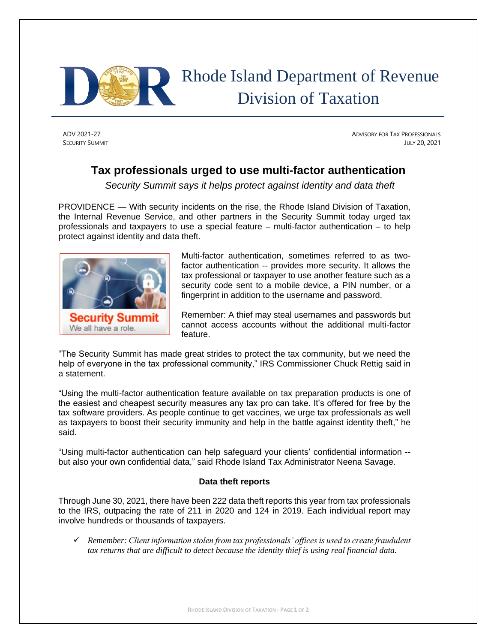

## Rhode Island Department of Revenue Division of Taxation

ADV 2021-27 ADVISORY FOR TAX PROFESSIONALS SECURITY SUMMIT JULY 20, 2021

## **Tax professionals urged to use multi-factor authentication**

*Security Summit says it helps protect against identity and data theft*

PROVIDENCE — With security incidents on the rise, the Rhode Island Division of Taxation, the Internal Revenue Service, and other partners in the Security Summit today urged tax professionals and taxpayers to use a special feature – multi-factor authentication – to help protect against identity and data theft.



Multi-factor authentication, sometimes referred to as twofactor authentication -- provides more security. It allows the tax professional or taxpayer to use another feature such as a security code sent to a mobile device, a PIN number, or a fingerprint in addition to the username and password.

Remember: A thief may steal usernames and passwords but cannot access accounts without the additional multi-factor feature.

"The Security Summit has made great strides to protect the tax community, but we need the help of everyone in the tax professional community," IRS Commissioner Chuck Rettig said in a statement.

"Using the multi-factor authentication feature available on tax preparation products is one of the easiest and cheapest security measures any tax pro can take. It's offered for free by the tax software providers. As people continue to get vaccines, we urge tax professionals as well as taxpayers to boost their security immunity and help in the battle against identity theft," he said.

"Using multi-factor authentication can help safeguard your clients' confidential information - but also your own confidential data," said Rhode Island Tax Administrator Neena Savage.

## **Data theft reports**

Through June 30, 2021, there have been 222 data theft reports this year from tax professionals to the IRS, outpacing the rate of 211 in 2020 and 124 in 2019. Each individual report may involve hundreds or thousands of taxpayers.

✓ *Remember: Client information stolen from tax professionals' offices is used to create fraudulent tax returns that are difficult to detect because the identity thief is using real financial data.*